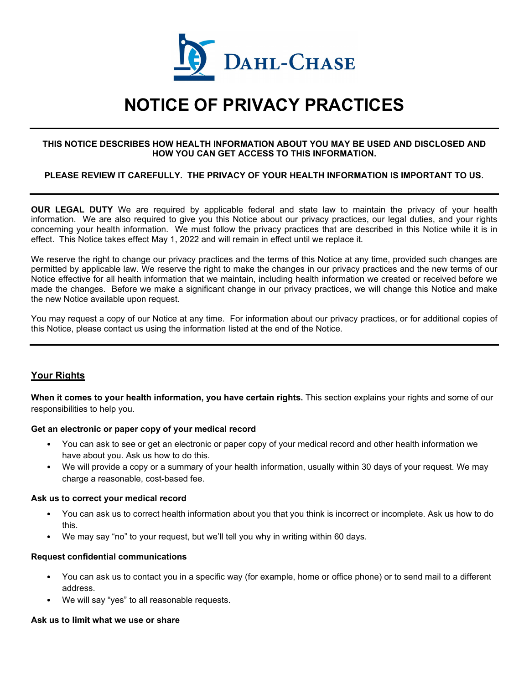

# **NOTICE OF PRIVACY PRACTICES**

#### **THIS NOTICE DESCRIBES HOW HEALTH INFORMATION ABOUT YOU MAY BE USED AND DISCLOSED AND HOW YOU CAN GET ACCESS TO THIS INFORMATION.**

## **PLEASE REVIEW IT CAREFULLY. THE PRIVACY OF YOUR HEALTH INFORMATION IS IMPORTANT TO US**.

**OUR LEGAL DUTY** We are required by applicable federal and state law to maintain the privacy of your health information. We are also required to give you this Notice about our privacy practices, our legal duties, and your rights concerning your health information. We must follow the privacy practices that are described in this Notice while it is in effect. This Notice takes effect May 1, 2022 and will remain in effect until we replace it.

We reserve the right to change our privacy practices and the terms of this Notice at any time, provided such changes are permitted by applicable law. We reserve the right to make the changes in our privacy practices and the new terms of our Notice effective for all health information that we maintain, including health information we created or received before we made the changes. Before we make a significant change in our privacy practices, we will change this Notice and make the new Notice available upon request.

You may request a copy of our Notice at any time. For information about our privacy practices, or for additional copies of this Notice, please contact us using the information listed at the end of the Notice.

## **Your Rights**

**When it comes to your health information, you have certain rights.** This section explains your rights and some of our responsibilities to help you.

#### **Get an electronic or paper copy of your medical record**

- You can ask to see or get an electronic or paper copy of your medical record and other health information we have about you. Ask us how to do this.
- We will provide a copy or a summary of your health information, usually within 30 days of your request. We may charge a reasonable, cost-based fee.

#### **Ask us to correct your medical record**

- You can ask us to correct health information about you that you think is incorrect or incomplete. Ask us how to do this.
- We may say "no" to your request, but we'll tell you why in writing within 60 days.

#### **Request confidential communications**

- You can ask us to contact you in a specific way (for example, home or office phone) or to send mail to a different address.
- We will say "yes" to all reasonable requests.

#### **Ask us to limit what we use or share**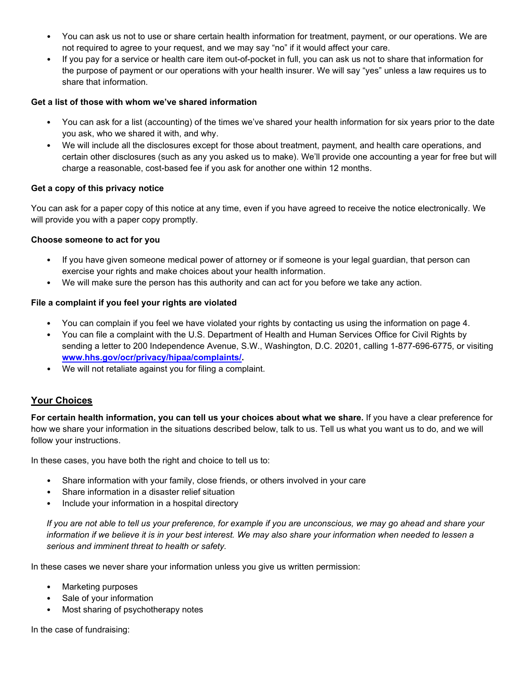- You can ask us not to use or share certain health information for treatment, payment, or our operations. We are not required to agree to your request, and we may say "no" if it would affect your care.
- If you pay for a service or health care item out-of-pocket in full, you can ask us not to share that information for the purpose of payment or our operations with your health insurer. We will say "yes" unless a law requires us to share that information.

# **Get a list of those with whom we've shared information**

- You can ask for a list (accounting) of the times we've shared your health information for six years prior to the date you ask, who we shared it with, and why.
- We will include all the disclosures except for those about treatment, payment, and health care operations, and certain other disclosures (such as any you asked us to make). We'll provide one accounting a year for free but will charge a reasonable, cost-based fee if you ask for another one within 12 months.

# **Get a copy of this privacy notice**

You can ask for a paper copy of this notice at any time, even if you have agreed to receive the notice electronically. We will provide you with a paper copy promptly.

# **Choose someone to act for you**

- If you have given someone medical power of attorney or if someone is your legal guardian, that person can exercise your rights and make choices about your health information.
- We will make sure the person has this authority and can act for you before we take any action.

# **File a complaint if you feel your rights are violated**

- You can complain if you feel we have violated your rights by contacting us using the information on page 4.
- You can file a complaint with the U.S. Department of Health and Human Services Office for Civil Rights by sending a letter to 200 Independence Avenue, S.W., Washington, D.C. 20201, calling 1-877-696-6775, or visiting **[www.hhs.gov/ocr/privacy/hipaa/complaints/.](http://www.hhs.gov/ocr/privacy/hipaa/complaints/)**
- We will not retaliate against you for filing a complaint.

# **Your Choices**

**For certain health information, you can tell us your choices about what we share.** If you have a clear preference for how we share your information in the situations described below, talk to us. Tell us what you want us to do, and we will follow your instructions.

In these cases, you have both the right and choice to tell us to:

- Share information with your family, close friends, or others involved in your care
- Share information in a disaster relief situation
- Include your information in a hospital directory

*If you are not able to tell us your preference, for example if you are unconscious, we may go ahead and share your*  information if we believe it is in your best interest. We may also share your information when needed to lessen a *serious and imminent threat to health or safety.*

In these cases we never share your information unless you give us written permission:

- Marketing purposes
- Sale of your information
- Most sharing of psychotherapy notes

In the case of fundraising: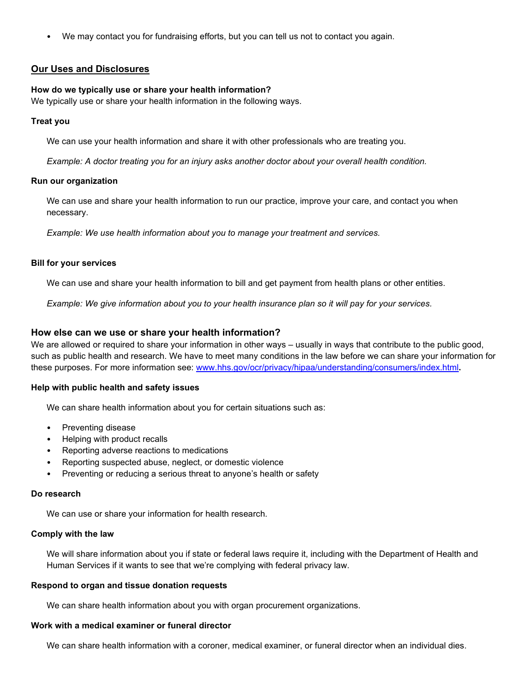• We may contact you for fundraising efforts, but you can tell us not to contact you again.

## **Our Uses and Disclosures**

# **How do we typically use or share your health information?**

We typically use or share your health information in the following ways.

#### **Treat you**

We can use your health information and share it with other professionals who are treating you.

*Example: A doctor treating you for an injury asks another doctor about your overall health condition.*

#### **Run our organization**

We can use and share your health information to run our practice, improve your care, and contact you when necessary.

*Example: We use health information about you to manage your treatment and services.* 

#### **Bill for your services**

We can use and share your health information to bill and get payment from health plans or other entities.

*Example: We give information about you to your health insurance plan so it will pay for your services.* 

## **How else can we use or share your health information?**

We are allowed or required to share your information in other ways – usually in ways that contribute to the public good, such as public health and research. We have to meet many conditions in the law before we can share your information for these purposes. For more information see: [www.hhs.gov/ocr/privacy/hipaa/understanding/consumers/index.html](http://www.hhs.gov/ocr/privacy/hipaa/understanding/consumers/index.html)**.** 

#### **Help with public health and safety issues**

We can share health information about you for certain situations such as:

- Preventing disease
- Helping with product recalls
- Reporting adverse reactions to medications
- Reporting suspected abuse, neglect, or domestic violence
- Preventing or reducing a serious threat to anyone's health or safety

#### **Do research**

We can use or share your information for health research.

#### **Comply with the law**

We will share information about you if state or federal laws require it, including with the Department of Health and Human Services if it wants to see that we're complying with federal privacy law.

#### **Respond to organ and tissue donation requests**

We can share health information about you with organ procurement organizations.

#### **Work with a medical examiner or funeral director**

We can share health information with a coroner, medical examiner, or funeral director when an individual dies.